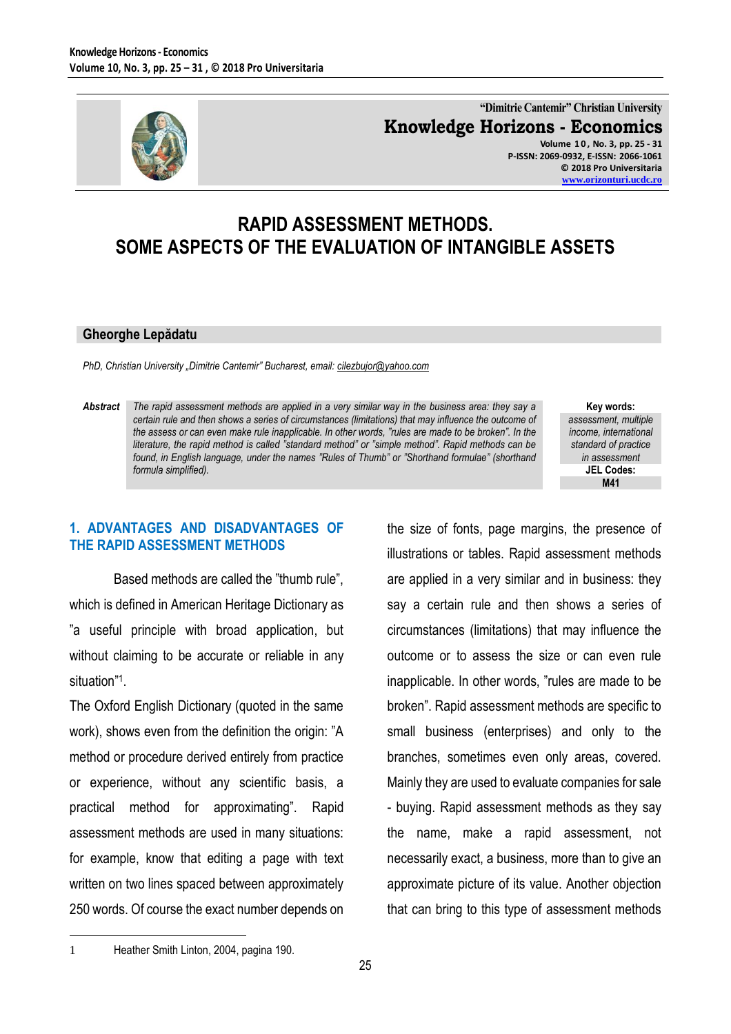

**"Dimitrie Cantemir" Christian University Knowledge Horizons - Economics Volume 1 0 , No. 3, pp. 25 - 31 P-ISSN: 2069-0932, E-ISSN: 2066-1061**

**© 2018 Pro Universitaria [www.orizonturi.ucdc.ro](http://www.orizonturi.ucdc.ro/)**

# **RAPID ASSESSMENT METHODS. SOME ASPECTS OF THE EVALUATION OF INTANGIBLE ASSETS**

#### **Gheorghe Lepădatu**

*PhD, Christian University "Dimitrie Cantemir" Bucharest, email: [cilezbujor@yahoo.com](mailto:cilezbujor@yahoo.com)*

*Abstract The rapid assessment methods are applied in a very similar way in the business area: they say a certain rule and then shows a series of circumstances (limitations) that may influence the outcome of the assess or can even make rule inapplicable. In other words, "rules are made to be broken". In the literature, the rapid method is called "standard method" or "simple method". Rapid methods can be found, in English language, under the names "Rules of Thumb" or "Shorthand formulae" (shorthand formula simplified).* 

**Key words:** *assessment, multiple income, international standard of practice in assessment* **JEL Codes: M41**

### **1. ADVANTAGES AND DISADVANTAGES OF THE RAPID ASSESSMENT METHODS**

Based methods are called the "thumb rule", which is defined in American Heritage Dictionary as "a useful principle with broad application, but without claiming to be accurate or reliable in any situation"<sup>1</sup> .

The Oxford English Dictionary (quoted in the same work), shows even from the definition the origin: "A method or procedure derived entirely from practice or experience, without any scientific basis, a practical method for approximating". Rapid assessment methods are used in many situations: for example, know that editing a page with text written on two lines spaced between approximately 250 words. Of course the exact number depends on the size of fonts, page margins, the presence of illustrations or tables. Rapid assessment methods are applied in a very similar and in business: they say a certain rule and then shows a series of circumstances (limitations) that may influence the outcome or to assess the size or can even rule inapplicable. In other words, "rules are made to be broken". Rapid assessment methods are specific to small business (enterprises) and only to the branches, sometimes even only areas, covered. Mainly they are used to evaluate companies for sale - buying. Rapid assessment methods as they say the name, make a rapid assessment, not necessarily exact, a business, more than to give an approximate picture of its value. Another objection that can bring to this type of assessment methods

 $\overline{a}$ 

<sup>1</sup> Heather Smith Linton, 2004, pagina 190.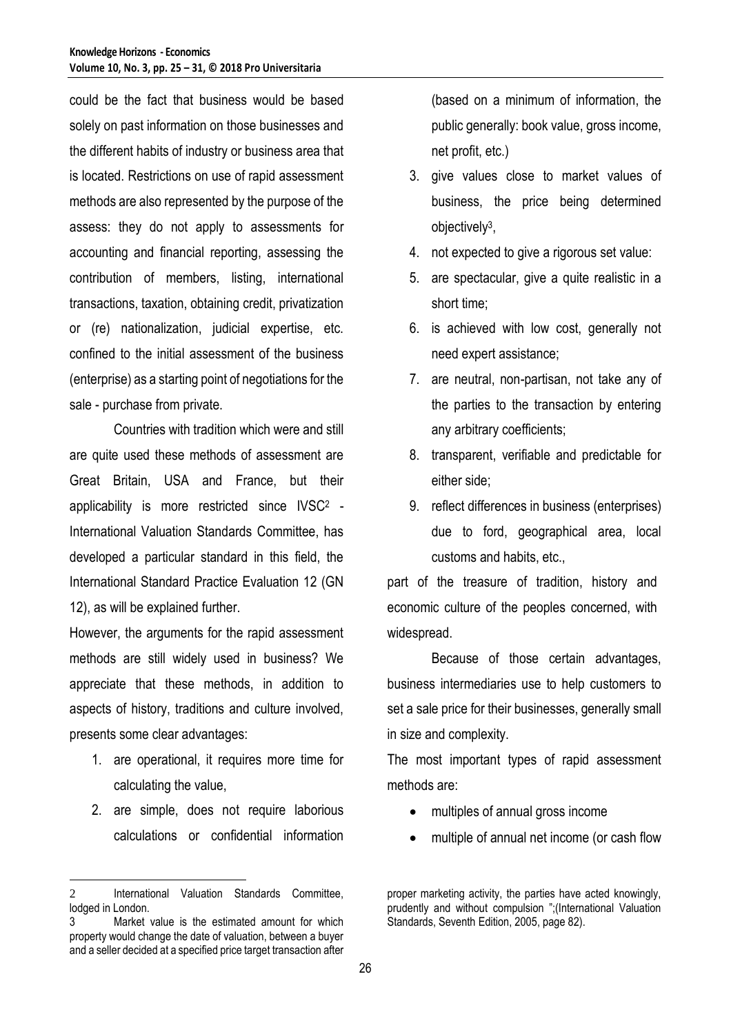could be the fact that business would be based solely on past information on those businesses and the different habits of industry or business area that is located. Restrictions on use of rapid assessment methods are also represented by the purpose of the assess: they do not apply to assessments for accounting and financial reporting, assessing the contribution of members, listing, international transactions, taxation, obtaining credit, privatization or (re) nationalization, judicial expertise, etc. confined to the initial assessment of the business (enterprise) as a starting point of negotiations for the sale - purchase from private.

Countries with tradition which were and still are quite used these methods of assessment are Great Britain, USA and France, but their applicability is more restricted since IVSC<sup>2</sup> - International Valuation Standards Committee, has developed a particular standard in this field, the International Standard Practice Evaluation 12 (GN 12), as will be explained further.

However, the arguments for the rapid assessment methods are still widely used in business? We appreciate that these methods, in addition to aspects of history, traditions and culture involved, presents some clear advantages:

- 1. are operational, it requires more time for calculating the value,
- 2. are simple, does not require laborious calculations or confidential information

 $\overline{a}$ 

(based on a minimum of information, the public generally: book value, gross income, net profit, etc.)

- 3. give values close to market values of business, the price being determined objectively<sup>3</sup> ,
- 4. not expected to give a rigorous set value:
- 5. are spectacular, give a quite realistic in a short time;
- 6. is achieved with low cost, generally not need expert assistance;
- 7. are neutral, non-partisan, not take any of the parties to the transaction by entering any arbitrary coefficients;
- 8. transparent, verifiable and predictable for either side;
- 9. reflect differences in business (enterprises) due to ford, geographical area, local customs and habits, etc.,

part of the treasure of tradition, history and economic culture of the peoples concerned, with widespread.

Because of those certain advantages, business intermediaries use to help customers to set a sale price for their businesses, generally small in size and complexity.

The most important types of rapid assessment methods are:

- multiples of annual gross income
- multiple of annual net income (or cash flow

proper marketing activity, the parties have acted knowingly, prudently and without compulsion ";(International Valuation Standards, Seventh Edition, 2005, page 82).

<sup>2</sup> International Valuation Standards Committee, lodged in London.

<sup>3</sup> Market value is the estimated amount for which property would change the date of valuation, between a buyer and a seller decided at a specified price target transaction after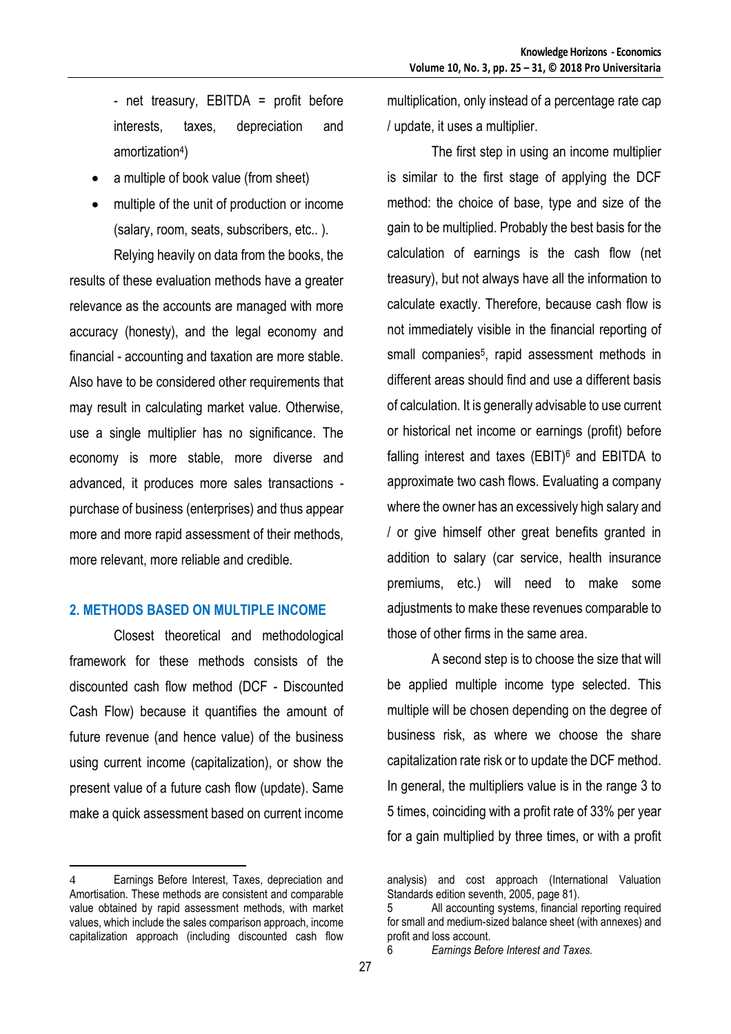- net treasury, EBITDA = profit before interests, taxes, depreciation and amortization<sup>4</sup> )

- a multiple of book value (from sheet)
- multiple of the unit of production or income (salary, room, seats, subscribers, etc.. ).

Relying heavily on data from the books, the results of these evaluation methods have a greater relevance as the accounts are managed with more accuracy (honesty), and the legal economy and financial - accounting and taxation are more stable. Also have to be considered other requirements that may result in calculating market value. Otherwise, use a single multiplier has no significance. The economy is more stable, more diverse and advanced, it produces more sales transactions purchase of business (enterprises) and thus appear more and more rapid assessment of their methods, more relevant, more reliable and credible.

### **2. METHODS BASED ON MULTIPLE INCOME**

Closest theoretical and methodological framework for these methods consists of the discounted cash flow method (DCF - Discounted Cash Flow) because it quantifies the amount of future revenue (and hence value) of the business using current income (capitalization), or show the present value of a future cash flow (update). Same make a quick assessment based on current income

multiplication, only instead of a percentage rate cap / update, it uses a multiplier.

The first step in using an income multiplier is similar to the first stage of applying the DCF method: the choice of base, type and size of the gain to be multiplied. Probably the best basis for the calculation of earnings is the cash flow (net treasury), but not always have all the information to calculate exactly. Therefore, because cash flow is not immediately visible in the financial reporting of small companies<sup>5</sup>, rapid assessment methods in different areas should find and use a different basis of calculation. It is generally advisable to use current or historical net income or earnings (profit) before falling interest and taxes  $(EBIT)^6$  and EBITDA to approximate two cash flows. Evaluating a company where the owner has an excessively high salary and / or give himself other great benefits granted in addition to salary (car service, health insurance premiums, etc.) will need to make some adjustments to make these revenues comparable to those of other firms in the same area.

A second step is to choose the size that will be applied multiple income type selected. This multiple will be chosen depending on the degree of business risk, as where we choose the share capitalization rate risk or to update the DCF method. In general, the multipliers value is in the range 3 to 5 times, coinciding with a profit rate of 33% per year for a gain multiplied by three times, or with a profit

 $\overline{a}$ 4 Earnings Before Interest, Taxes, depreciation and Amortisation. These methods are consistent and comparable value obtained by rapid assessment methods, with market values, which include the sales comparison approach, income capitalization approach (including discounted cash flow

analysis) and cost approach (International Valuation Standards edition seventh, 2005, page 81).

<sup>5</sup> All accounting systems, financial reporting required for small and medium-sized balance sheet (with annexes) and profit and loss account.

<sup>6</sup> *Earnings Before Interest and Taxes.*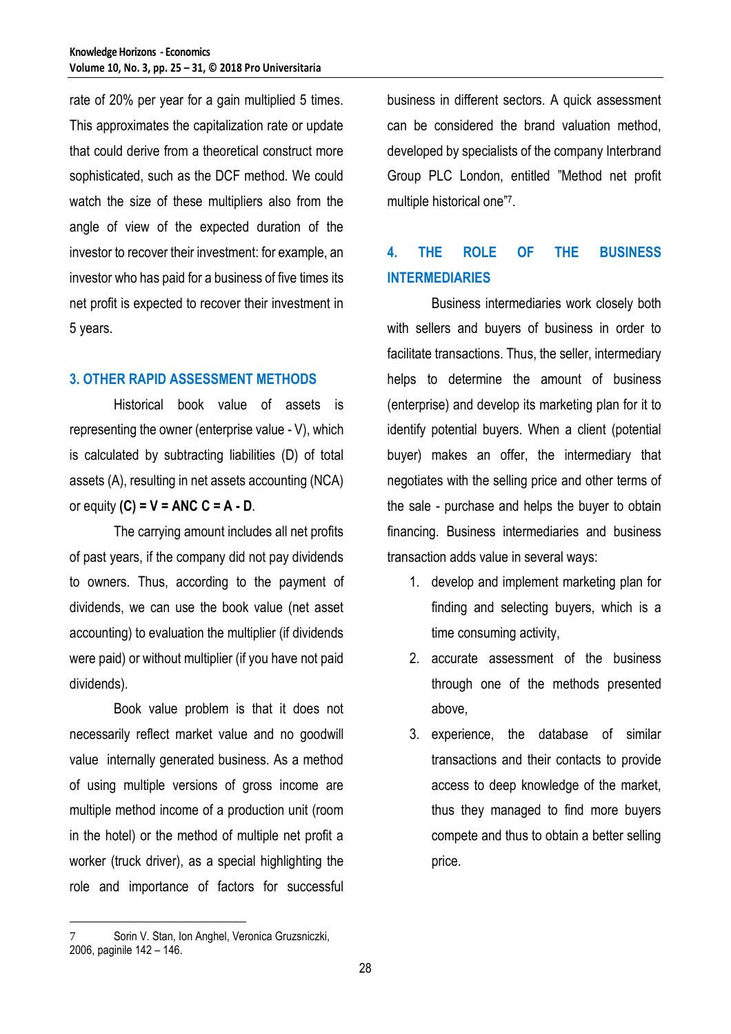rate of 20% per year for a gain multiplied 5 times. This approximates the capitalization rate or update that could derive from a theoretical construct more sophisticated, such as the DCF method. We could watch the size of these multipliers also from the angle of view of the expected duration of the investor to recover their investment: for example, an investor who has paid for a business of five times its net profit is expected to recover their investment in 5 years.

### **3. OTHER RAPID ASSESSMENT METHODS**

Historical book value of assets is representing the owner (enterprise value - V), which is calculated by subtracting liabilities (D) of total assets (A), resulting in net assets accounting (NCA) or equity **(C) = V = ANC C = A - D**.

The carrying amount includes all net profits of past years, if the company did not pay dividends to owners. Thus, according to the payment of dividends, we can use the book value (net asset accounting) to evaluation the multiplier (if dividends were paid) or without multiplier (if you have not paid dividends).

Book value problem is that it does not necessarily reflect market value and no goodwill value internally generated business. As a method of using multiple versions of gross income are multiple method income of a production unit (room in the hotel) or the method of multiple net profit a worker (truck driver), as a special highlighting the role and importance of factors for successful

business in different sectors. A quick assessment can be considered the brand valuation method, developed by specialists of the company Interbrand Group PLC London, entitled "Method net profit multiple historical one"<sup>7</sup> .

## **4. THE ROLE OF THE BUSINESS INTERMEDIARIES**

Business intermediaries work closely both with sellers and buyers of business in order to facilitate transactions. Thus, the seller, intermediary helps to determine the amount of business (enterprise) and develop its marketing plan for it to identify potential buyers. When a client (potential buyer) makes an offer, the intermediary that negotiates with the selling price and other terms of the sale - purchase and helps the buyer to obtain financing. Business intermediaries and business transaction adds value in several ways:

- 1. develop and implement marketing plan for finding and selecting buyers, which is a time consuming activity,
- 2. accurate assessment of the business through one of the methods presented above,
- 3. experience, the database of similar transactions and their contacts to provide access to deep knowledge of the market, thus they managed to find more buyers compete and thus to obtain a better selling price.

 $\overline{a}$ 7 Sorin V. Stan, Ion Anghel, Veronica Gruzsniczki, 2006, paginile 142 – 146.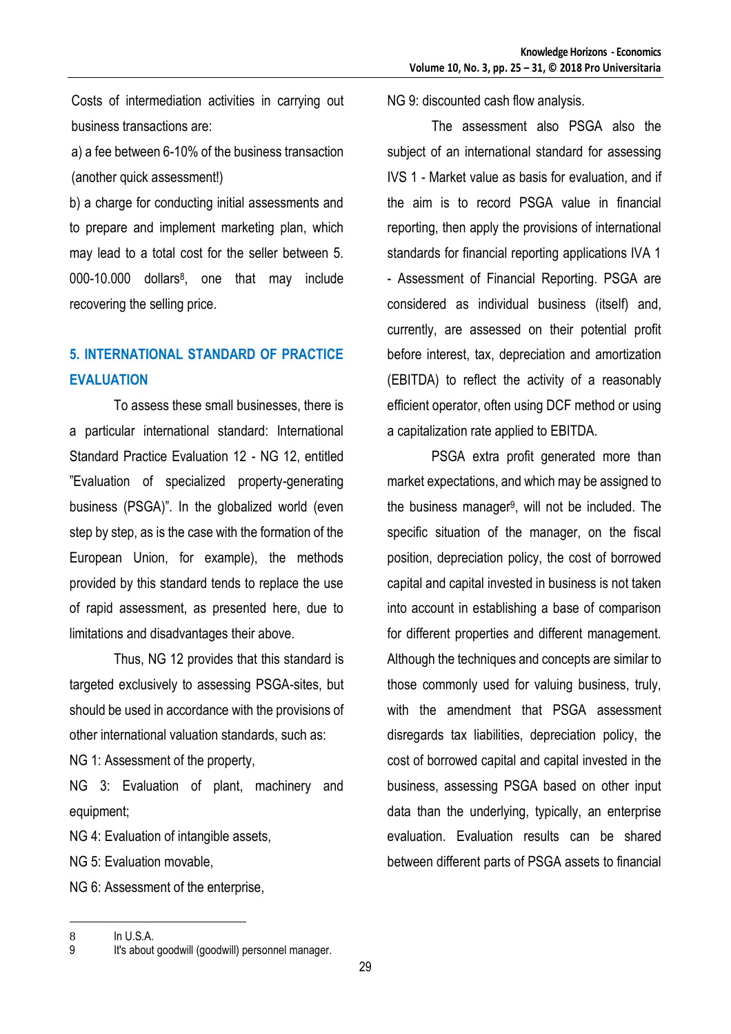Costs of intermediation activities in carrying out business transactions are:

a) a fee between 6-10% of the business transaction (another quick assessment!)

b) a charge for conducting initial assessments and to prepare and implement marketing plan, which may lead to a total cost for the seller between 5. 000-10.000 dollars<sup>8</sup>, one that may include recovering the selling price.

## **5. INTERNATIONAL STANDARD OF PRACTICE EVALUATION**

To assess these small businesses, there is a particular international standard: International Standard Practice Evaluation 12 - NG 12, entitled "Evaluation of specialized property-generating business (PSGA)". In the globalized world (even step by step, as is the case with the formation of the European Union, for example), the methods provided by this standard tends to replace the use of rapid assessment, as presented here, due to limitations and disadvantages their above.

Thus, NG 12 provides that this standard is targeted exclusively to assessing PSGA-sites, but should be used in accordance with the provisions of other international valuation standards, such as:

NG 1: Assessment of the property,

NG 3: Evaluation of plant, machinery and equipment;

NG 4: Evaluation of intangible assets,

NG 5: Evaluation movable,

NG 6: Assessment of the enterprise,

NG 9: discounted cash flow analysis.

The assessment also PSGA also the subject of an international standard for assessing IVS 1 - Market value as basis for evaluation, and if the aim is to record PSGA value in financial reporting, then apply the provisions of international standards for financial reporting applications IVA 1 - Assessment of Financial Reporting. PSGA are considered as individual business (itself) and, currently, are assessed on their potential profit before interest, tax, depreciation and amortization (EBITDA) to reflect the activity of a reasonably efficient operator, often using DCF method or using a capitalization rate applied to EBITDA.

PSGA extra profit generated more than market expectations, and which may be assigned to the business manager<sup>9</sup>, will not be included. The specific situation of the manager, on the fiscal position, depreciation policy, the cost of borrowed capital and capital invested in business is not taken into account in establishing a base of comparison for different properties and different management. Although the techniques and concepts are similar to those commonly used for valuing business, truly, with the amendment that PSGA assessment disregards tax liabilities, depreciation policy, the cost of borrowed capital and capital invested in the business, assessing PSGA based on other input data than the underlying, typically, an enterprise evaluation. Evaluation results can be shared between different parts of PSGA assets to financial

 $\overline{a}$ 

<sup>8</sup> In U.S.A.

<sup>9</sup> It's about goodwill (goodwill) personnel manager.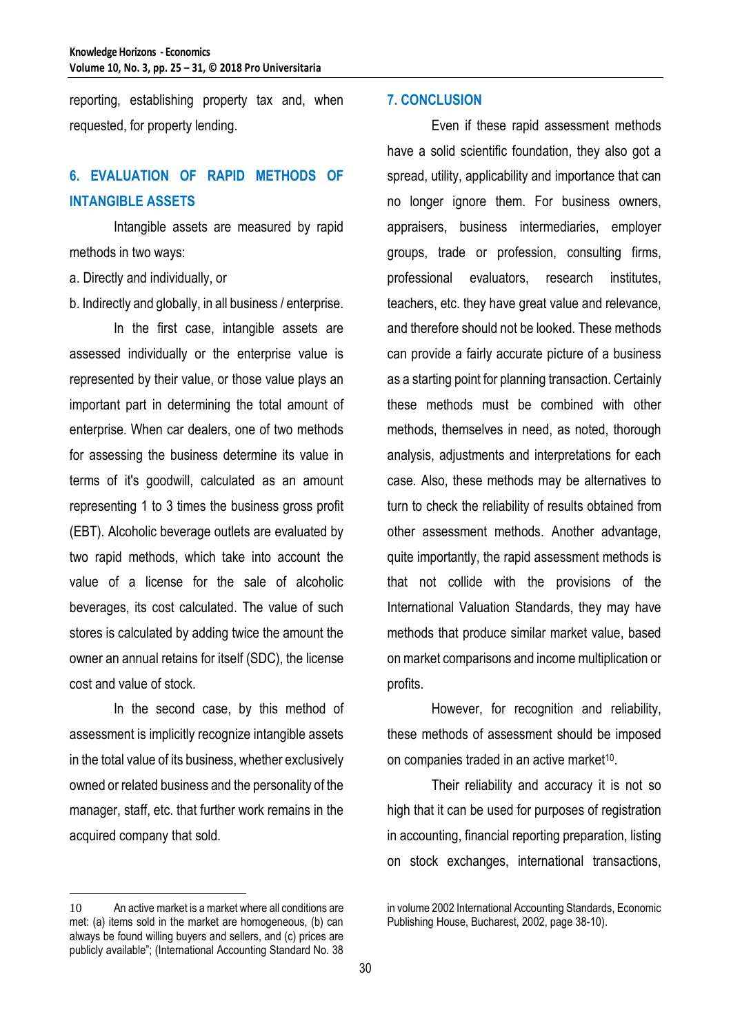reporting, establishing property tax and, when requested, for property lending.

### **6. EVALUATION OF RAPID METHODS OF INTANGIBLE ASSETS**

Intangible assets are measured by rapid methods in two ways:

a. Directly and individually, or

b. Indirectly and globally, in all business / enterprise.

In the first case, intangible assets are assessed individually or the enterprise value is represented by their value, or those value plays an important part in determining the total amount of enterprise. When car dealers, one of two methods for assessing the business determine its value in terms of it's goodwill, calculated as an amount representing 1 to 3 times the business gross profit (EBT). Alcoholic beverage outlets are evaluated by two rapid methods, which take into account the value of a license for the sale of alcoholic beverages, its cost calculated. The value of such stores is calculated by adding twice the amount the owner an annual retains for itself (SDC), the license cost and value of stock.

In the second case, by this method of assessment is implicitly recognize intangible assets in the total value of its business, whether exclusively owned or related business and the personality of the manager, staff, etc. that further work remains in the acquired company that sold.

 $\overline{a}$ 

#### **7. CONCLUSION**

Even if these rapid assessment methods have a solid scientific foundation, they also got a spread, utility, applicability and importance that can no longer ignore them. For business owners, appraisers, business intermediaries, employer groups, trade or profession, consulting firms, professional evaluators, research institutes, teachers, etc. they have great value and relevance, and therefore should not be looked. These methods can provide a fairly accurate picture of a business as a starting point for planning transaction. Certainly these methods must be combined with other methods, themselves in need, as noted, thorough analysis, adjustments and interpretations for each case. Also, these methods may be alternatives to turn to check the reliability of results obtained from other assessment methods. Another advantage, quite importantly, the rapid assessment methods is that not collide with the provisions of the International Valuation Standards, they may have methods that produce similar market value, based on market comparisons and income multiplication or profits.

However, for recognition and reliability, these methods of assessment should be imposed on companies traded in an active market<sup>10</sup>.

Their reliability and accuracy it is not so high that it can be used for purposes of registration in accounting, financial reporting preparation, listing on stock exchanges, international transactions,

<sup>10</sup> An active market is a market where all conditions are met: (a) items sold in the market are homogeneous, (b) can always be found willing buyers and sellers, and (c) prices are publicly available"; (International Accounting Standard No. 38

in volume 2002 International Accounting Standards, Economic Publishing House, Bucharest, 2002, page 38-10).